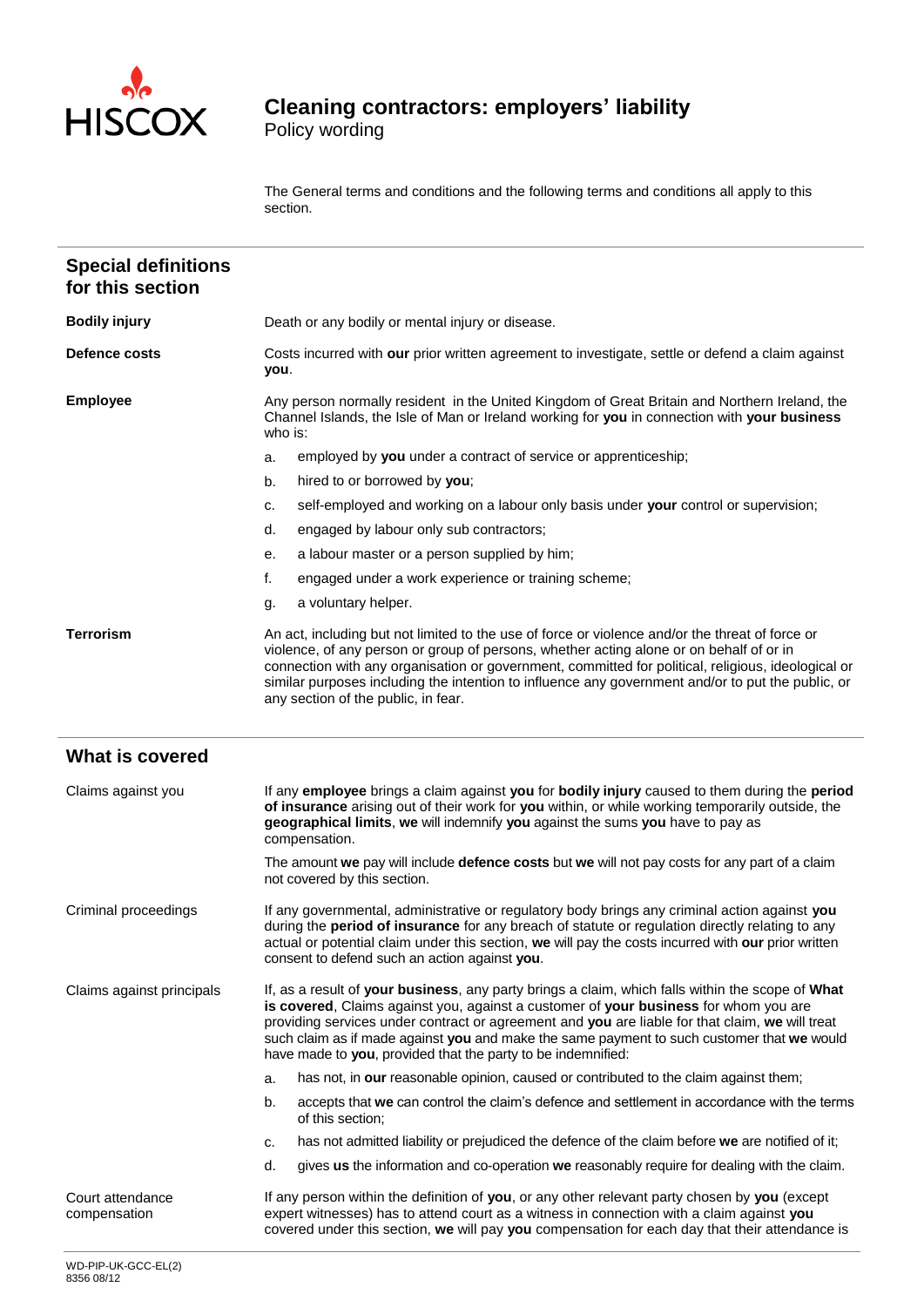

## **Cleaning contractors: employers' liability**

Policy wording

The General terms and conditions and the following terms and conditions all apply to this section.

| <b>Bodily injury</b><br>Death or any bodily or mental injury or disease.<br>Defence costs | Costs incurred with our prior written agreement to investigate, settle or defend a claim against                                                                                                                                                                                                                                                                                                                                             |  |
|-------------------------------------------------------------------------------------------|----------------------------------------------------------------------------------------------------------------------------------------------------------------------------------------------------------------------------------------------------------------------------------------------------------------------------------------------------------------------------------------------------------------------------------------------|--|
|                                                                                           |                                                                                                                                                                                                                                                                                                                                                                                                                                              |  |
| you.                                                                                      |                                                                                                                                                                                                                                                                                                                                                                                                                                              |  |
| <b>Employee</b><br>who is:                                                                | Any person normally resident in the United Kingdom of Great Britain and Northern Ireland, the<br>Channel Islands, the Isle of Man or Ireland working for you in connection with your business                                                                                                                                                                                                                                                |  |
| a.                                                                                        | employed by you under a contract of service or apprenticeship;                                                                                                                                                                                                                                                                                                                                                                               |  |
| hired to or borrowed by you;<br>b.                                                        |                                                                                                                                                                                                                                                                                                                                                                                                                                              |  |
| c.                                                                                        | self-employed and working on a labour only basis under your control or supervision;                                                                                                                                                                                                                                                                                                                                                          |  |
| engaged by labour only sub contractors;<br>d.                                             |                                                                                                                                                                                                                                                                                                                                                                                                                                              |  |
| a labour master or a person supplied by him;<br>е.                                        |                                                                                                                                                                                                                                                                                                                                                                                                                                              |  |
| f.                                                                                        | engaged under a work experience or training scheme;                                                                                                                                                                                                                                                                                                                                                                                          |  |
| a voluntary helper.<br>g.                                                                 |                                                                                                                                                                                                                                                                                                                                                                                                                                              |  |
| <b>Terrorism</b>                                                                          | An act, including but not limited to the use of force or violence and/or the threat of force or<br>violence, of any person or group of persons, whether acting alone or on behalf of or in<br>connection with any organisation or government, committed for political, religious, ideological or<br>similar purposes including the intention to influence any government and/or to put the public, or<br>any section of the public, in fear. |  |
| <b>What is covered</b>                                                                    |                                                                                                                                                                                                                                                                                                                                                                                                                                              |  |
| Claims against you<br>compensation.                                                       | If any employee brings a claim against you for bodily injury caused to them during the period<br>of insurance arising out of their work for you within, or while working temporarily outside, the<br>geographical limits, we will indemnify you against the sums you have to pay as                                                                                                                                                          |  |
| not covered by this section.                                                              | The amount we pay will include defence costs but we will not pay costs for any part of a claim                                                                                                                                                                                                                                                                                                                                               |  |
| Criminal proceedings<br>consent to defend such an action against you.                     | If any governmental, administrative or regulatory body brings any criminal action against you<br>during the period of insurance for any breach of statute or regulation directly relating to any<br>actual or potential claim under this section, we will pay the costs incurred with our prior written                                                                                                                                      |  |
| Claims against principals<br>have made to you, provided that the party to be indemnified: | If, as a result of your business, any party brings a claim, which falls within the scope of What<br>is covered, Claims against you, against a customer of your business for whom you are<br>providing services under contract or agreement and you are liable for that claim, we will treat<br>such claim as if made against you and make the same payment to such customer that we would                                                    |  |
| a.                                                                                        | has not, in our reasonable opinion, caused or contributed to the claim against them;                                                                                                                                                                                                                                                                                                                                                         |  |
| b.<br>of this section;                                                                    | accepts that we can control the claim's defence and settlement in accordance with the terms                                                                                                                                                                                                                                                                                                                                                  |  |
| c.                                                                                        | has not admitted liability or prejudiced the defence of the claim before we are notified of it;                                                                                                                                                                                                                                                                                                                                              |  |
| d.                                                                                        | gives us the information and co-operation we reasonably require for dealing with the claim.                                                                                                                                                                                                                                                                                                                                                  |  |
| Court attendance<br>compensation                                                          | If any person within the definition of you, or any other relevant party chosen by you (except<br>expert witnesses) has to attend court as a witness in connection with a claim against you<br>covered under this section, we will pay you compensation for each day that their attendance is                                                                                                                                                 |  |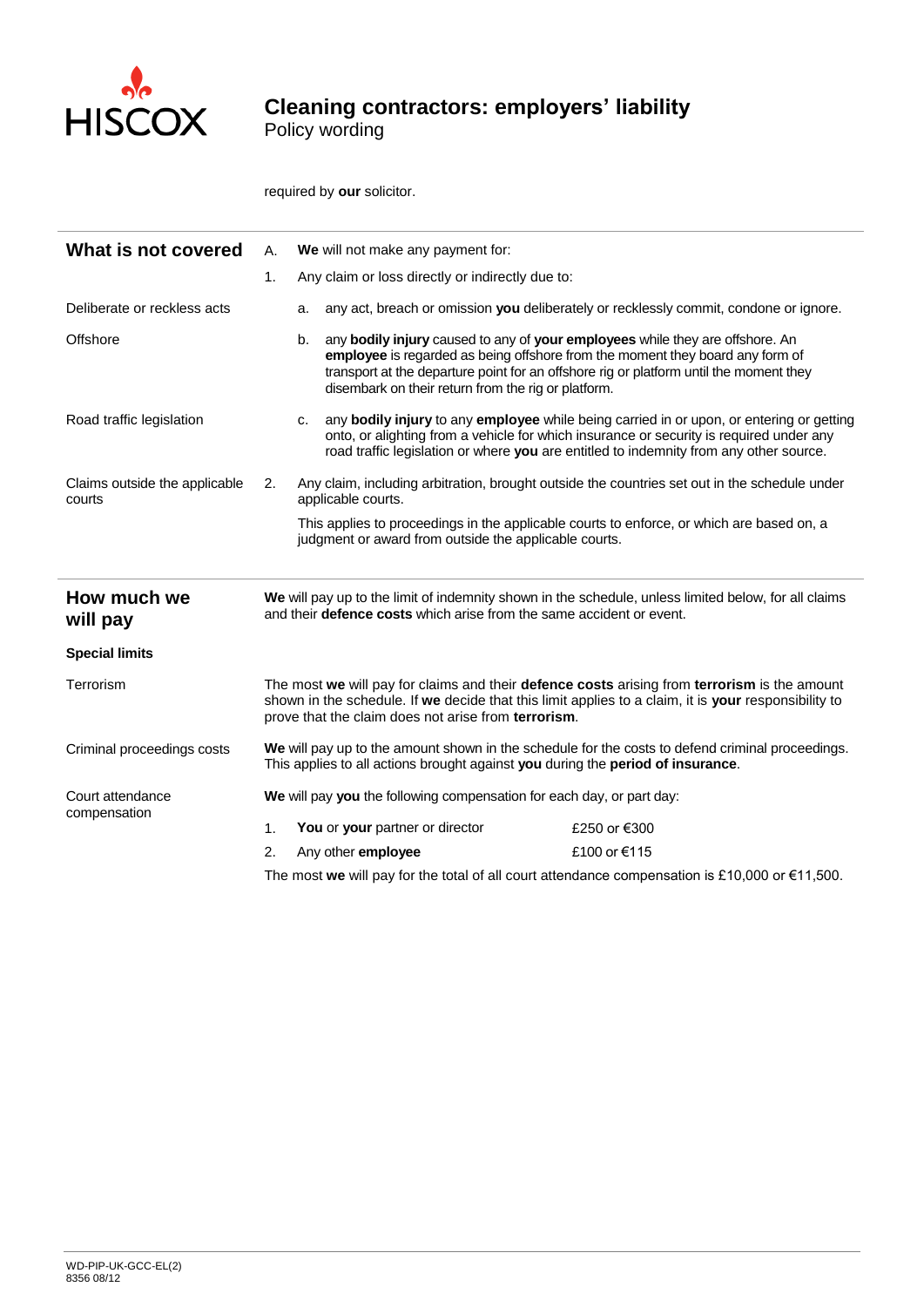

## **Cleaning contractors: employers' liability**

Policy wording

required by **our** solicitor.

| Any claim or loss directly or indirectly due to:<br>1.<br>Deliberate or reckless acts<br>any act, breach or omission you deliberately or recklessly commit, condone or ignore.<br>a.<br>any bodily injury caused to any of your employees while they are offshore. An<br>Offshore<br>b.<br>employee is regarded as being offshore from the moment they board any form of<br>transport at the departure point for an offshore rig or platform until the moment they<br>disembark on their return from the rig or platform.<br>any <b>bodily injury</b> to any <b>employee</b> while being carried in or upon, or entering or getting<br>Road traffic legislation<br>c.<br>onto, or alighting from a vehicle for which insurance or security is required under any<br>road traffic legislation or where you are entitled to indemnity from any other source.<br>Claims outside the applicable<br>Any claim, including arbitration, brought outside the countries set out in the schedule under<br>2. |  |
|----------------------------------------------------------------------------------------------------------------------------------------------------------------------------------------------------------------------------------------------------------------------------------------------------------------------------------------------------------------------------------------------------------------------------------------------------------------------------------------------------------------------------------------------------------------------------------------------------------------------------------------------------------------------------------------------------------------------------------------------------------------------------------------------------------------------------------------------------------------------------------------------------------------------------------------------------------------------------------------------------|--|
|                                                                                                                                                                                                                                                                                                                                                                                                                                                                                                                                                                                                                                                                                                                                                                                                                                                                                                                                                                                                    |  |
|                                                                                                                                                                                                                                                                                                                                                                                                                                                                                                                                                                                                                                                                                                                                                                                                                                                                                                                                                                                                    |  |
|                                                                                                                                                                                                                                                                                                                                                                                                                                                                                                                                                                                                                                                                                                                                                                                                                                                                                                                                                                                                    |  |
| applicable courts.<br>courts                                                                                                                                                                                                                                                                                                                                                                                                                                                                                                                                                                                                                                                                                                                                                                                                                                                                                                                                                                       |  |
| This applies to proceedings in the applicable courts to enforce, or which are based on, a<br>judgment or award from outside the applicable courts.                                                                                                                                                                                                                                                                                                                                                                                                                                                                                                                                                                                                                                                                                                                                                                                                                                                 |  |
| How much we<br>We will pay up to the limit of indemnity shown in the schedule, unless limited below, for all claims<br>and their <b>defence costs</b> which arise from the same accident or event.<br>will pay                                                                                                                                                                                                                                                                                                                                                                                                                                                                                                                                                                                                                                                                                                                                                                                     |  |
| <b>Special limits</b>                                                                                                                                                                                                                                                                                                                                                                                                                                                                                                                                                                                                                                                                                                                                                                                                                                                                                                                                                                              |  |
| The most we will pay for claims and their defence costs arising from terrorism is the amount<br>Terrorism<br>shown in the schedule. If we decide that this limit applies to a claim, it is your responsibility to<br>prove that the claim does not arise from terrorism.                                                                                                                                                                                                                                                                                                                                                                                                                                                                                                                                                                                                                                                                                                                           |  |
| We will pay up to the amount shown in the schedule for the costs to defend criminal proceedings.<br>Criminal proceedings costs<br>This applies to all actions brought against you during the period of insurance.                                                                                                                                                                                                                                                                                                                                                                                                                                                                                                                                                                                                                                                                                                                                                                                  |  |
| Court attendance<br>We will pay you the following compensation for each day, or part day:                                                                                                                                                                                                                                                                                                                                                                                                                                                                                                                                                                                                                                                                                                                                                                                                                                                                                                          |  |
| compensation<br>You or your partner or director<br>$\mathbf{1}$ .<br>£250 or €300                                                                                                                                                                                                                                                                                                                                                                                                                                                                                                                                                                                                                                                                                                                                                                                                                                                                                                                  |  |
| £100 or €115<br>Any other <b>employee</b><br>2.<br>TL.<br>والمتساوية والمفارس المستنقص المستنقص والمستنقص والمستنقص والقرير والمتناوب                                                                                                                                                                                                                                                                                                                                                                                                                                                                                                                                                                                                                                                                                                                                                                                                                                                              |  |

The most **we** will pay for the total of all court attendance compensation is £10,000 or €11,500.